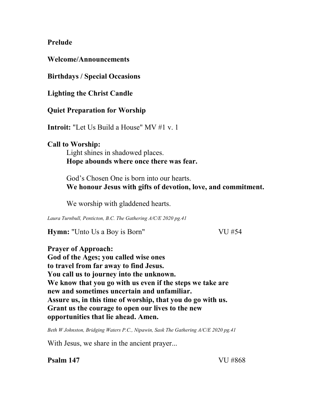#### **Prelude**

**Welcome/Announcements** 

**Birthdays / Special Occasions** 

**Lighting the Christ Candle** 

**Quiet Preparation for Worship** 

**Introit:** "Let Us Build a House" MV #1 v. 1

## **Call to Worship:**

Light shines in shadowed places. **Hope abounds where once there was fear.** 

God's Chosen One is born into our hearts. **We honour Jesus with gifts of devotion, love, and commitment.** 

We worship with gladdened hearts.

*Laura Turnbull, Penticton, B.C. The Gathering A/C/E 2020 pg.41* 

**Hymn:** "Unto Us a Boy is Born" VU #54

**Prayer of Approach: God of the Ages; you called wise ones to travel from far away to find Jesus. You call us to journey into the unknown. We know that you go with us even if the steps we take are new and sometimes uncertain and unfamiliar. Assure us, in this time of worship, that you do go with us. Grant us the courage to open our lives to the new opportunities that lie ahead. Amen.** 

*Beth W Johnston, Bridging Waters P.C., Nipawin, Sask The Gathering A/C/E 2020 pg.41* 

With Jesus, we share in the ancient prayer...

**Psalm 147** VU #868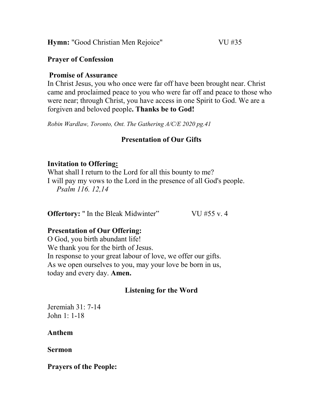**Hymn:** "Good Christian Men Rejoice" VU #35

#### **Prayer of Confession**

#### **Promise of Assurance**

In Christ Jesus, you who once were far off have been brought near. Christ came and proclaimed peace to you who were far off and peace to those who were near; through Christ, you have access in one Spirit to God. We are a forgiven and beloved people**. Thanks be to God!**

*Robin Wardlaw, Toronto, Ont. The Gathering A/C/E 2020 pg.41* 

## **Presentation of Our Gifts**

## **Invitation to Offering:**

What shall I return to the Lord for all this bounty to me? I will pay my vows to the Lord in the presence of all God's people. *Psalm 116. 12,14* 

**Offertory:** " In the Bleak Midwinter" VU #55 v. 4

## **Presentation of Our Offering:**

O God, you birth abundant life! We thank you for the birth of Jesus. In response to your great labour of love, we offer our gifts. As we open ourselves to you, may your love be born in us, today and every day. **Amen.** 

# **Listening for the Word**

Jeremiah 31: 7-14 John 1: 1-18

## **Anthem**

**Sermon** 

**Prayers of the People:**